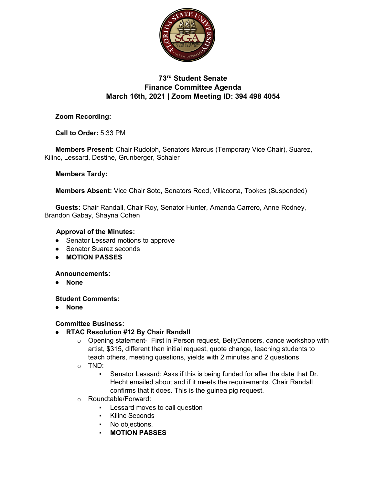

## **73rd Student Senate Finance Committee Agenda March 16th, 2021 | Zoom Meeting ID: 394 498 4054**

### **Zoom Recording:**

**Call to Order:** 5:33 PM

**Members Present:** Chair Rudolph, Senators Marcus (Temporary Vice Chair), Suarez, Kilinc, Lessard, Destine, Grunberger, Schaler

### **Members Tardy:**

**Members Absent:** Vice Chair Soto, Senators Reed, Villacorta, Tookes (Suspended)

**Guests:** Chair Randall, Chair Roy, Senator Hunter, Amanda Carrero, Anne Rodney, Brandon Gabay, Shayna Cohen

### **Approval of the Minutes:**

- Senator Lessard motions to approve
- Senator Suarez seconds
- **MOTION PASSES**

### **Announcements:**

● **None**

### **Student Comments:**

● **None**

### **Committee Business:**

- **RTAC Resolution #12 By Chair Randall**
	- o Opening statement- First in Person request, BellyDancers, dance workshop with artist, \$315, different than initial request, quote change, teaching students to teach others, meeting questions, yields with 2 minutes and 2 questions
	- o TND:
		- Senator Lessard: Asks if this is being funded for after the date that Dr. Hecht emailed about and if it meets the requirements. Chair Randall confirms that it does. This is the guinea pig request.
	- o Roundtable/Forward:
		- Lessard moves to call question
		- Kilinc Seconds
		- No objections.
		- **MOTION PASSES**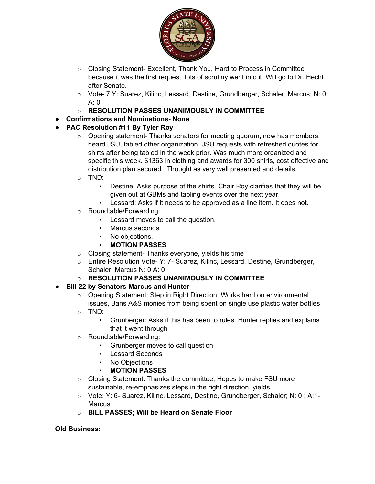

- o Closing Statement- Excellent, Thank You, Hard to Process in Committee because it was the first request, lots of scrutiny went into it. Will go to Dr. Hecht after Senate.
- o Vote- 7 Y: Suarez, Kilinc, Lessard, Destine, Grundberger, Schaler, Marcus; N: 0;  $A \cdot 0$
- o **RESOLUTION PASSES UNANIMOUSLY IN COMMITTEE**
- **Confirmations and Nominations- None**

# ● **PAC Resolution #11 By Tyler Roy**

- o Opening statement- Thanks senators for meeting quorum, now has members, heard JSU, tabled other organization. JSU requests with refreshed quotes for shirts after being tabled in the week prior. Was much more organized and specific this week. \$1363 in clothing and awards for 300 shirts, cost effective and distribution plan secured. Thought as very well presented and details.
- o TND:
	- Destine: Asks purpose of the shirts. Chair Roy clarifies that they will be given out at GBMs and tabling events over the next year.
	- Lessard: Asks if it needs to be approved as a line item. It does not.
- o Roundtable/Forwarding:
	- Lessard moves to call the question.
	- Marcus seconds.
	- No objections.
	- **MOTION PASSES**
- o Closing statement- Thanks everyone, yields his time
- o Entire Resolution Vote- Y: 7- Suarez, Kilinc, Lessard, Destine, Grundberger, Schaler, Marcus N: 0 A: 0

## o **RESOLUTION PASSES UNANIMOUSLY IN COMMITTEE**

## ● **Bill 22 by Senators Marcus and Hunter**

- $\circ$  Opening Statement: Step in Right Direction, Works hard on environmental issues, Bans A&S monies from being spent on single use plastic water bottles
- o TND:
	- Grunberger: Asks if this has been to rules. Hunter replies and explains that it went through
- o Roundtable/Forwarding:
	- Grunberger moves to call question
	- Lessard Seconds
	- No Objections
	- **MOTION PASSES**
- $\circ$  Closing Statement: Thanks the committee, Hopes to make FSU more sustainable, re-emphasizes steps in the right direction, yields.
- o Vote: Y: 6- Suarez, Kilinc, Lessard, Destine, Grundberger, Schaler; N: 0 ; A:1- **Marcus**
- o **BILL PASSES; Will be Heard on Senate Floor**

### **Old Business:**